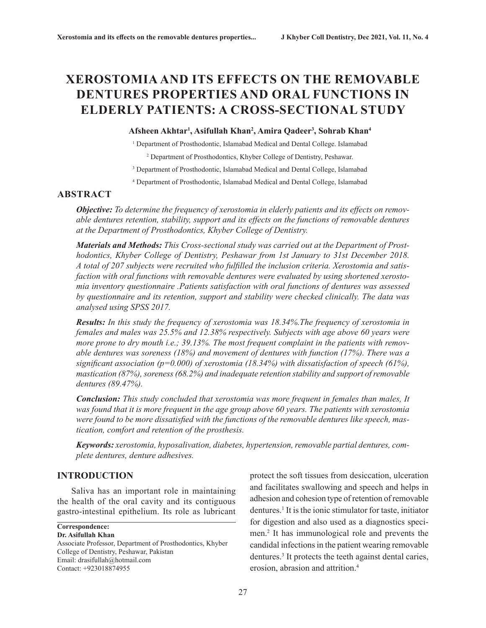# **XEROSTOMIA AND ITS EFFECTS ON THE REMOVABLE DENTURES PROPERTIES AND ORAL FUNCTIONS IN ELDERLY PATIENTS: A CROSS-SECTIONAL STUDY**

#### **Afsheen Akhtar1 , Asifullah Khan2 , Amira Qadeer3 , Sohrab Khan4**

<sup>1</sup> Department of Prosthodontic, Islamabad Medical and Dental College. Islamabad

2 Department of Prosthodontics, Khyber College of Dentistry, Peshawar.

<sup>3</sup> Department of Prosthodontic, Islamabad Medical and Dental College, Islamabad

4 Department of Prosthodontic, Islamabad Medical and Dental College, Islamabad

# **ABSTRACT**

*Objective: To determine the frequency of xerostomia in elderly patients and its effects on removable dentures retention, stability, support and its effects on the functions of removable dentures at the Department of Prosthodontics, Khyber College of Dentistry.*

*Materials and Methods: This Cross-sectional study was carried out at the Department of Prosthodontics, Khyber College of Dentistry, Peshawar from 1st January to 31st December 2018. A total of 207 subjects were recruited who fulfilled the inclusion criteria. Xerostomia and satisfaction with oral functions with removable dentures were evaluated by using shortened xerostomia inventory questionnaire .Patients satisfaction with oral functions of dentures was assessed by questionnaire and its retention, support and stability were checked clinically. The data was analysed using SPSS 2017.*

*Results: In this study the frequency of xerostomia was 18.34%.The frequency of xerostomia in females and males was 25.5% and 12.38% respectively. Subjects with age above 60 years were more prone to dry mouth i.e.; 39.13%. The most frequent complaint in the patients with removable dentures was soreness (18%) and movement of dentures with function (17%). There was a significant association (p=0.000) of xerostomia (18.34%) with dissatisfaction of speech (61%), mastication (87%), soreness (68.2%) and inadequate retention stability and support of removable dentures (89.47%).*

*Conclusion: This study concluded that xerostomia was more frequent in females than males, It was found that it is more frequent in the age group above 60 years. The patients with xerostomia were found to be more dissatisfied with the functions of the removable dentures like speech, mastication, comfort and retention of the prosthesis.*

*Keywords: xerostomia, hyposalivation, diabetes, hypertension, removable partial dentures, complete dentures, denture adhesives.*

# **INTRODUCTION**

Saliva has an important role in maintaining the health of the oral cavity and its contiguous gastro-intestinal epithelium. Its role as lubricant

**Correspondence: Dr. Asifullah Khan**

Associate Professor, Department of Prosthodontics, Khyber College of Dentistry, Peshawar, Pakistan Email: drasifullah@hotmail.com Contact: +923018874955

protect the soft tissues from desiccation, ulceration and facilitates swallowing and speech and helps in adhesion and cohesion type of retention of removable dentures.<sup>1</sup> It is the ionic stimulator for taste, initiator for digestion and also used as a diagnostics specimen.2 It has immunological role and prevents the candidal infections in the patient wearing removable dentures.<sup>3</sup> It protects the teeth against dental caries, erosion, abrasion and attrition.4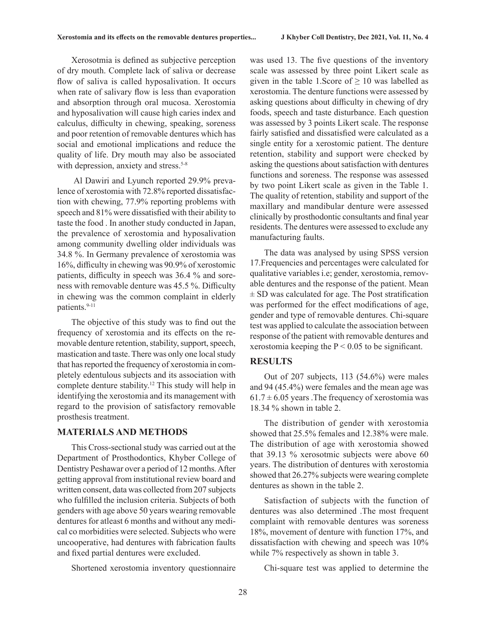Xerosotmia is defined as subjective perception of dry mouth. Complete lack of saliva or decrease flow of saliva is called hyposalivation. It occurs when rate of salivary flow is less than evaporation and absorption through oral mucosa. Xerostomia and hyposalivation will cause high caries index and calculus, difficulty in chewing, speaking, soreness and poor retention of removable dentures which has social and emotional implications and reduce the quality of life. Dry mouth may also be associated with depression, anxiety and stress.<sup>5-8</sup>

 Al Dawiri and Lyunch reported 29.9% prevalence of xerostomia with 72.8% reported dissatisfaction with chewing, 77.9% reporting problems with speech and 81% were dissatisfied with their ability to taste the food . In another study conducted in Japan, the prevalence of xerostomia and hyposalivation among community dwelling older individuals was 34.8 %. In Germany prevalence of xerostomia was 16%, difficulty in chewing was 90.9% of xerostomic patients, difficulty in speech was 36.4 % and soreness with removable denture was 45.5 %. Difficulty in chewing was the common complaint in elderly patients.<sup>9-11</sup>

The objective of this study was to find out the frequency of xerostomia and its effects on the removable denture retention, stability, support, speech, mastication and taste. There was only one local study that has reported the frequency of xerostomia in completely edentulous subjects and its association with complete denture stability.12 This study will help in identifying the xerostomia and its management with regard to the provision of satisfactory removable prosthesis treatment.

### **MATERIALS AND METHODS**

This Cross-sectional study was carried out at the Department of Prosthodontics, Khyber College of Dentistry Peshawar over a period of 12 months. After getting approval from institutional review board and written consent, data was collected from 207 subjects who fulfilled the inclusion criteria. Subjects of both genders with age above 50 years wearing removable dentures for atleast 6 months and without any medical co morbidities were selected. Subjects who were uncooperative, had dentures with fabrication faults and fixed partial dentures were excluded.

Shortened xerostomia inventory questionnaire

was used 13. The five questions of the inventory scale was assessed by three point Likert scale as given in the table 1.Score of  $\geq 10$  was labelled as xerostomia. The denture functions were assessed by asking questions about difficulty in chewing of dry foods, speech and taste disturbance. Each question was assessed by 3 points Likert scale. The response fairly satisfied and dissatisfied were calculated as a single entity for a xerostomic patient. The denture retention, stability and support were checked by asking the questions about satisfaction with dentures functions and soreness. The response was assessed by two point Likert scale as given in the Table 1. The quality of retention, stability and support of the maxillary and mandibular denture were assessed clinically by prosthodontic consultants and final year residents. The dentures were assessed to exclude any manufacturing faults.

The data was analysed by using SPSS version 17.Frequencies and percentages were calculated for qualitative variables i.e; gender, xerostomia, removable dentures and the response of the patient. Mean  $\pm$  SD was calculated for age. The Post stratification was performed for the effect modifications of age, gender and type of removable dentures. Chi-square test was applied to calculate the association between response of the patient with removable dentures and xerostomia keeping the  $P < 0.05$  to be significant.

# **RESULTS**

Out of 207 subjects, 113 (54.6%) were males and 94 (45.4%) were females and the mean age was  $61.7 \pm 6.05$  years. The frequency of xerostomia was 18.34 % shown in table 2.

The distribution of gender with xerostomia showed that 25.5% females and 12.38% were male. The distribution of age with xerostomia showed that 39.13 % xerosotmic subjects were above 60 years. The distribution of dentures with xerostomia showed that 26.27% subjects were wearing complete dentures as shown in the table 2.

Satisfaction of subjects with the function of dentures was also determined .The most frequent complaint with removable dentures was soreness 18%, movement of denture with function 17%, and dissatisfaction with chewing and speech was 10% while 7% respectively as shown in table 3.

Chi-square test was applied to determine the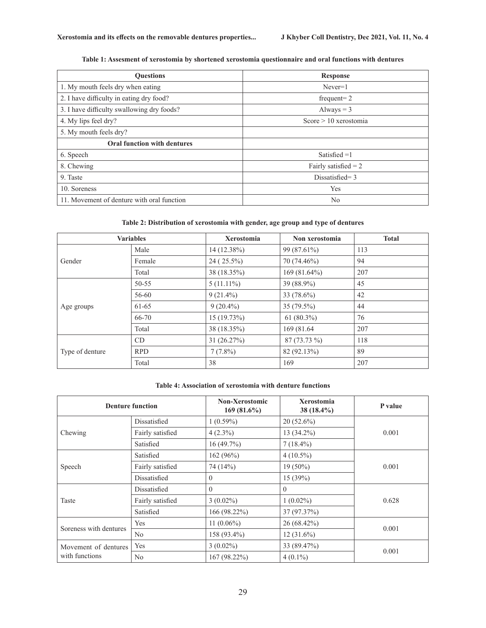|  |  | Table 1: Assesment of xerostomia by shortened xerostomia questionnaire and oral functions with dentures |
|--|--|---------------------------------------------------------------------------------------------------------|
|  |  |                                                                                                         |

| <b>Ouestions</b>                           | <b>Response</b>         |  |  |
|--------------------------------------------|-------------------------|--|--|
| 1. My mouth feels dry when eating          | $Never=1$               |  |  |
| 2. I have difficulty in eating dry food?   | frequent= $2$           |  |  |
| 3. I have difficulty swallowing dry foods? | Always $=$ 3            |  |  |
| 4. My lips feel dry?                       | Score $> 10$ xerostomia |  |  |
| 5. My mouth feels dry?                     |                         |  |  |
| Oral function with dentures                |                         |  |  |
| 6. Speech                                  | Satisfied $=1$          |  |  |
| 8. Chewing                                 | Fairly satisfied $= 2$  |  |  |
| 9. Taste                                   | Dissatisfied= $3$       |  |  |
| 10. Soreness                               | Yes                     |  |  |
| 11. Movement of denture with oral function | N <sub>0</sub>          |  |  |

#### **Table 2: Distribution of xerostomia with gender, age group and type of dentures**

| <b>Variables</b> |            | <b>Xerostomia</b> | Non xerostomia | <b>Total</b> |
|------------------|------------|-------------------|----------------|--------------|
| Gender           | Male       | 14 (12.38%)       | 99 (87.61%)    | 113          |
|                  | Female     | $24(25.5\%)$      | 70 (74.46%)    | 94           |
|                  | Total      | 38 (18.35%)       | 169(81.64%)    | 207          |
| Age groups       | 50-55      | $5(11.11\%)$      | 39 (88.9%)     | 45           |
|                  | 56-60      | $9(21.4\%)$       | 33 (78.6%)     | 42           |
|                  | 61-65      | $9(20.4\%)$       | $35(79.5\%)$   | 44           |
|                  | 66-70      | 15(19.73%)        | $61 (80.3\%)$  | 76           |
|                  | Total      | 38 (18.35%)       | 169 (81.64)    | 207          |
| Type of denture  | CD         | 31(26.27%)        | 87 (73.73 %)   | 118          |
|                  | <b>RPD</b> | $7(7.8\%)$        | 82 (92.13%)    | 89           |
|                  | Total      | 38                | 169            | 207          |

#### **Table 4: Association of xerostomia with denture functions**

| <b>Denture function</b>                |                  | <b>Non-Xerostomic</b><br>$169(81.6\%)$ | Xerostomia<br>38 (18.4%) | P value |
|----------------------------------------|------------------|----------------------------------------|--------------------------|---------|
| Chewing                                | Dissatisfied     | $1(0.59\%)$                            | $20(52.6\%)$             | 0.001   |
|                                        | Fairly satisfied | $4(2.3\%)$                             | 13 (34.2%)               |         |
|                                        | Satisfied        | 16(49.7%)                              | $7(18.4\%)$              |         |
| Speech                                 | Satisfied        | 162(96%)                               | $4(10.5\%)$              | 0.001   |
|                                        | Fairly satisfied | 74 (14%)                               | $19(50\%)$               |         |
|                                        | Dissatisfied     | $\Omega$                               | 15(39%)                  |         |
| Taste                                  | Dissatisfied     | $\Omega$                               | $\Omega$                 | 0.628   |
|                                        | Fairly satisfied | $3(0.02\%)$                            | $1(0.02\%)$              |         |
|                                        | Satisfied        | 166 (98.22%)                           | 37 (97.37%)              |         |
| Soreness with dentures                 | Yes              | 11 $(0.06\%)$                          | 26 (68.42%)              | 0.001   |
|                                        | No               | 158 (93.4%)                            | $12(31.6\%)$             |         |
| Movement of dentures<br>with functions | Yes              | $3(0.02\%)$                            | 33 (89.47%)              | 0.001   |
|                                        | N <sub>o</sub>   | 167 (98.22%)                           | $4(0.1\%)$               |         |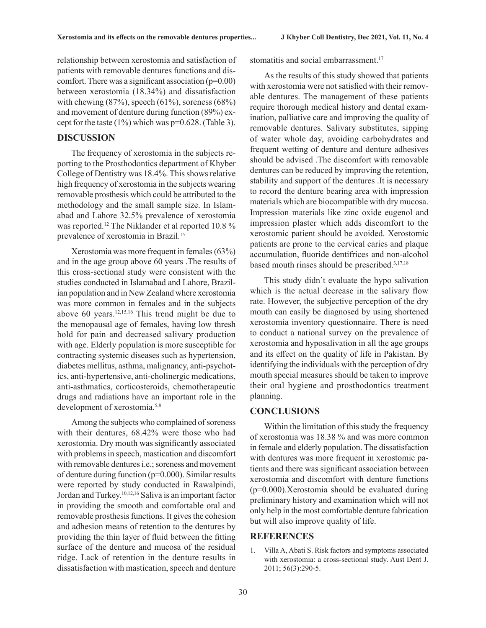relationship between xerostomia and satisfaction of patients with removable dentures functions and discomfort. There was a significant association  $(p=0.00)$ between xerostomia (18.34%) and dissatisfaction with chewing (87%), speech (61%), soreness (68%) and movement of denture during function (89%) except for the taste  $(1\%)$  which was p=0.628. (Table 3).

#### **DISCUSSION**

The frequency of xerostomia in the subjects reporting to the Prosthodontics department of Khyber College of Dentistry was 18.4%. This shows relative high frequency of xerostomia in the subjects wearing removable prosthesis which could be attributed to the methodology and the small sample size. In Islamabad and Lahore 32.5% prevalence of xerostomia was reported.12 The Niklander et al reported 10.8 % prevalence of xerostomia in Brazil.15

Xerostomia was more frequent in females (63%) and in the age group above 60 years .The results of this cross-sectional study were consistent with the studies conducted in Islamabad and Lahore, Brazilian population and in New Zealand where xerostomia was more common in females and in the subjects above 60 years.12,15,16 This trend might be due to the menopausal age of females, having low thresh hold for pain and decreased salivary production with age. Elderly population is more susceptible for contracting systemic diseases such as hypertension, diabetes mellitus, asthma, malignancy, anti-psychotics, anti-hypertensive, anti-cholinergic medications, anti-asthmatics, corticosteroids, chemotherapeutic drugs and radiations have an important role in the development of xerostomia.<sup>5,8</sup>

Among the subjects who complained of soreness with their dentures, 68.42% were those who had xerostomia. Dry mouth was significantly associated with problems in speech, mastication and discomfort with removable dentures i.e.; soreness and movement of denture during function ( $p=0.000$ ). Similar results were reported by study conducted in Rawalpindi, Jordan and Turkey.10,12,16 Saliva is an important factor in providing the smooth and comfortable oral and removable prosthesis functions. It gives the cohesion and adhesion means of retention to the dentures by providing the thin layer of fluid between the fitting surface of the denture and mucosa of the residual ridge. Lack of retention in the denture results in dissatisfaction with mastication, speech and denture

stomatitis and social embarrassment.<sup>17</sup>

As the results of this study showed that patients with xerostomia were not satisfied with their removable dentures. The management of these patients require thorough medical history and dental examination, palliative care and improving the quality of removable dentures. Salivary substitutes, sipping of water whole day, avoiding carbohydrates and frequent wetting of denture and denture adhesives should be advised .The discomfort with removable dentures can be reduced by improving the retention, stability and support of the dentures .It is necessary to record the denture bearing area with impression materials which are biocompatible with dry mucosa. Impression materials like zinc oxide eugenol and impression plaster which adds discomfort to the xerostomic patient should be avoided. Xerostomic patients are prone to the cervical caries and plaque accumulation, fluoride dentifrices and non-alcohol based mouth rinses should be prescribed.3,17,18

This study didn't evaluate the hypo salivation which is the actual decrease in the salivary flow rate. However, the subjective perception of the dry mouth can easily be diagnosed by using shortened xerostomia inventory questionnaire. There is need to conduct a national survey on the prevalence of xerostomia and hyposalivation in all the age groups and its effect on the quality of life in Pakistan. By identifying the individuals with the perception of dry mouth special measures should be taken to improve their oral hygiene and prosthodontics treatment planning.

#### **CONCLUSIONS**

Within the limitation of this study the frequency of xerostomia was 18.38 % and was more common in female and elderly population. The dissatisfaction with dentures was more frequent in xerostomic patients and there was significant association between xerostomia and discomfort with denture functions (p=0.000).Xerostomia should be evaluated during preliminary history and examination which will not only help in the most comfortable denture fabrication but will also improve quality of life.

# **REFERENCES**

1. Villa A, Abati S. Risk factors and symptoms associated with xerostomia: a cross-sectional study. Aust Dent J. 2011; 56(3):290-5.